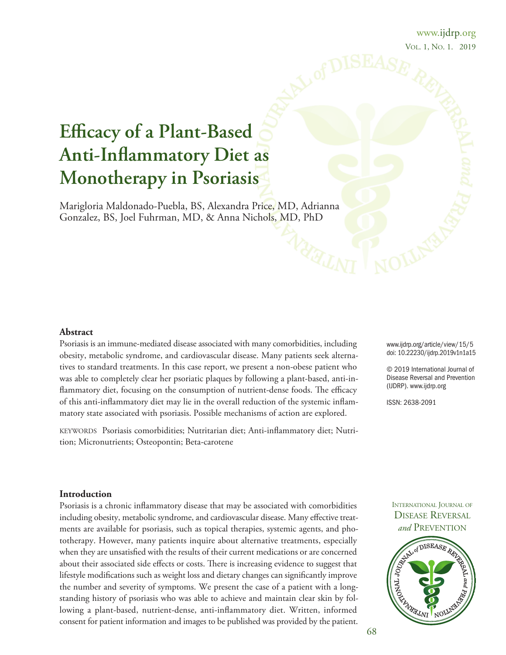### www.ijdrp.org Vol. 1, No. 1. 2019

# **Efficacy of a Plant-Based Anti-Inflammatory Diet as Monotherapy in Psoriasis**

Marigloria Maldonado-Puebla, BS, Alexandra Price, MD, Adrianna Gonzalez, BS, Joel Fuhrman, MD, & Anna Nichols, MD, PhD

### **Abstract**

Psoriasis is an immune-mediated disease associated with many comorbidities, including obesity, metabolic syndrome, and cardiovascular disease. Many patients seek alternatives to standard treatments. In this case report, we present a non-obese patient who was able to completely clear her psoriatic plaques by following a plant-based, anti-inflammatory diet, focusing on the consumption of nutrient-dense foods. The efficacy of this anti-inflammatory diet may lie in the overall reduction of the systemic inflammatory state associated with psoriasis. Possible mechanisms of action are explored.

keyworDS Psoriasis comorbidities; Nutritarian diet; Anti-inflammatory diet; Nutrition; Micronutrients; Osteopontin; Beta-carotene

[www.ijdrp.org/article/view/15/5](http://www.ijdrp.org/article/view/15/5) doi: [10.22230/ijdrp.2019v1n1a15](http://doi.org/10.22230/ijdrp.2019v1n1a15)

© 2019 International Journal of Disease Reversal and Prevention (IJDRP). [www.ijdrp.org](http://www.ijdrp.org)

ISSN: 2638-2091

#### **Introduction**

Psoriasis is a chronic inflammatory disease that may be associated with comorbidities including obesity, metabolic syndrome, and cardiovascular disease. Many effective treatments are available for psoriasis, such as topical therapies, systemic agents, and phototherapy. However, many patients inquire about alternative treatments, especially when they are unsatisfied with the results of their current medications or are concerned about their associated side effects or costs. There is increasing evidence to suggest that lifestyle modifications such as weight loss and dietary changes can significantly improve the number and severity of symptoms. we present the case of a patient with a longstanding history of psoriasis who was able to achieve and maintain clear skin by following a plant-based, nutrient-dense, anti-inflammatory diet. Written, informed consent for patient information and images to be published was provided by the patient.

### INTERNATIONAL JOURNAL OF DISEASE REVERSAL and PREVENTION

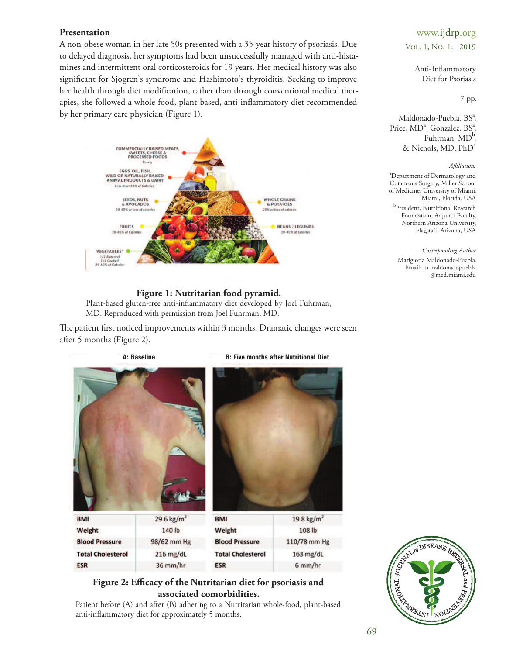### **Presentation**

A non-obese woman in her late 50s presented with a 35-year history of psoriasis. Due to delayed diagnosis, her symptoms had been unsuccessfully managed with anti-histamines and intermittent oral corticosteroids for 19 years. Her medical history was also significant for Sjogren's syndrome and Hashimoto's thyroiditis. Seeking to improve her health through diet modification, rather than through conventional medical therapies, she followed a whole-food, plant-based, anti-inflammatory diet recommended by her primary care physician (Figure 1).



### **Figure 1: Nutritarian food pyramid.**

Plant-based gluten-free anti-inflammatory diet developed by Joel Fuhrman, MD. Reproduced with permission from Joel Fuhrman, MD.

The patient first noticed improvements within 3 months. Dramatic changes were seen after 5 months (Figure 2).



### **Figure 2: Efficacy of the Nutritarian diet for psoriasis and associated comorbidities.**

Patient before (A) and after (B) adhering to a Nutritarian whole-food, plant-based anti-inflammatory diet for approximately 5 months.

## www.ijdrp.org Vol. 1, No. 1. 2019

Anti-Inflammatory Diet for Psoriasis

#### 7 pp.

Maldonado-Puebla, BS<sup>a</sup>, Price, MD<sup>a</sup>, Gonzalez, BS<sup>a</sup>, Fuhrman, MD<sup>b</sup>,  $&$  Nichols, MD,  $PhD<sup>a</sup>$ 

#### *Affiliations*

<sup>a</sup>Department of Dermatology and Cutaneous Surgery, Miller School of Medicine, University of Miami, Miami, Florida, uSA

<sup>b</sup>President, Nutritional Research Foundation, Adjunct Faculty, Northern Arizona University, Flagstaff, Arizona, USA

*Corresponding Author* Marigloria Maldonado-Puebla. Email: [m.maldonadopuebla](mailto:m.maldonadopuebla@med.miami.edu) [@med.miami.edu](mailto:m.maldonadopuebla@med.miami.edu)

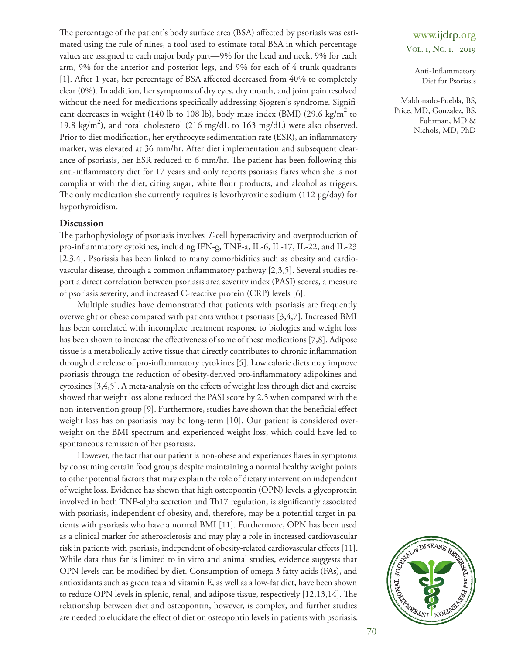The percentage of the patient's body surface area (BSA) affected by psoriasis was estimated using the rule of nines, a tool used to estimate total BSA in which percentage values are assigned to each major body part—9% for the head and neck, 9% for each arm, 9% for the anterior and posterior legs, and 9% for each of 4 trunk quadrants [\[1\]](#page-4-0). After 1 year, her percentage of BSA affected decreased from 40% to completely clear (0%). In addition, her symptoms of dry eyes, dry mouth, and joint pain resolved without the need for medications specifically addressing Sjogren's syndrome. Significant decreases in weight (140 lb to 108 lb), body mass index (BMI) (29.6 kg/m<sup>2</sup> to 19.8 kg/m<sup>2</sup>), and total cholesterol (216 mg/dL to 163 mg/dL) were also observed. Prior to diet modification, her erythrocyte sedimentation rate (ESR), an inflammatory marker, was elevated at 36 mm/hr. After diet implementation and subsequent clearance of psoriasis, her ESR reduced to 6 mm/hr. The patient has been following this anti-inflammatory diet for 17 years and only reports psoriasis flares when she is not compliant with the diet, citing sugar, white flour products, and alcohol as triggers. The only medication she currently requires is levothyroxine sodium (112 µg/day) for hypothyroidism.

### **Discussion**

The pathophysiology of psoriasis involves *T*-cell hyperactivity and overproduction of pro-inflammatory cytokines, including IFN-g, TNF-a, IL-6, IL-17, IL-22, and IL-23 [\[2,](#page-4-1)[3](#page-4-2)[,4\]](#page-4-3). Psoriasis has been linked to many comorbidities such as obesity and cardiovascular disease, through a common inflammatory pathway [\[2,](#page-4-1)[3](#page-4-2)[,5\]](#page-4-4). Several studies report a direct correlation between psoriasis area severity index (PASI) scores, a measure of psoriasis severity, and increased C-reactive protein (CRP) levels [\[6\]](#page-4-5).

Multiple studies have demonstrated that patients with psoriasis are frequently overweight or obese compared with patients without psoriasis [\[3](#page-4-2)[,4](#page-4-3)[,7\]](#page-4-6). Increased BMI has been correlated with incomplete treatment response to biologics and weight loss has been shown to increase the effectiveness of some of these medications [\[7](#page-4-6)[,8\]](#page-4-7). Adipose tissue is a metabolically active tissue that directly contributes to chronic inflammation through the release of pro-inflammatory cytokines [\[5\]](#page-4-4). low calorie diets may improve psoriasis through the reduction of obesity-derived pro-inflammatory adipokines and cytokines [\[3](#page-4-2)[,4](#page-4-3)[,5\]](#page-4-4). A meta-analysis on the effects of weight loss through diet and exercise showed that weight loss alone reduced the PASI score by 2.3 when compared with the non-intervention group [\[9\]](#page-4-8). Furthermore, studies have shown that the beneficial effect weight loss has on psoriasis may be long-term [\[10\]](#page-5-0). Our patient is considered overweight on the BMI spectrum and experienced weight loss, which could have led to spontaneous remission of her psoriasis.

However, the fact that our patient is non-obese and experiences flares in symptoms by consuming certain food groups despite maintaining a normal healthy weight points to other potential factors that may explain the role of dietary intervention independent of weight loss. Evidence has shown that high osteopontin (OPN) levels, a glycoprotein involved in both TNF-alpha secretion and Th17 regulation, is significantly associated with psoriasis, independent of obesity, and, therefore, may be a potential target in patients with psoriasis who have a normal BMI [\[11\]](#page-5-1). Furthermore, oPN has been used as a clinical marker for atherosclerosis and may play a role in increased cardiovascular risk in patients with psoriasis, independent of obesity-related cardiovascular effects [\[11\]](#page-5-1). while data thus far is limited to in vitro and animal studies, evidence suggests that oPN levels can be modified by diet. Consumption of omega 3 fatty acids (FAs), and antioxidants such as green tea and vitamin E, as well as a low-fat diet, have been shown to reduce OPN levels in splenic, renal, and adipose tissue, respectively  $[12,13,14]$  $[12,13,14]$  $[12,13,14]$ . The relationship between diet and osteopontin, however, is complex, and further studies are needed to elucidate the effect of diet on osteopontin levels in patients with psoriasis.

## www.ijdrp.org VOL. 1, NO. 1. 2019

Anti-Inflammatory Diet for Psoriasis

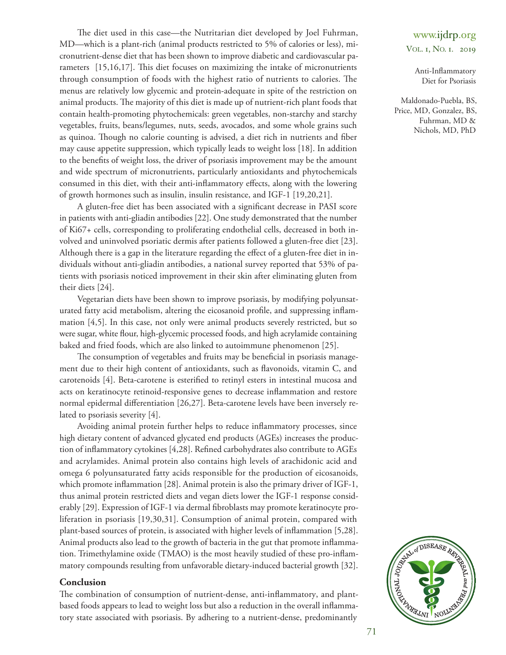The diet used in this case—the Nutritarian diet developed by Joel Fuhrman, MD—which is a plant-rich (animal products restricted to 5% of calories or less), micronutrient-dense diet that has been shown to improve diabetic and cardiovascular parameters  $[15,16,17]$  $[15,16,17]$  $[15,16,17]$ . This diet focuses on maximizing the intake of micronutrients through consumption of foods with the highest ratio of nutrients to calories. The menus are relatively low glycemic and protein-adequate in spite of the restriction on animal products. The majority of this diet is made up of nutrient-rich plant foods that contain health-promoting phytochemicals: green vegetables, non-starchy and starchy vegetables, fruits, beans/legumes, nuts, seeds, avocados, and some whole grains such as quinoa. Though no calorie counting is advised, a diet rich in nutrients and fiber may cause appetite suppression, which typically leads to weight loss [\[18\]](#page-5-8). In addition to the benefits of weight loss, the driver of psoriasis improvement may be the amount and wide spectrum of micronutrients, particularly antioxidants and phytochemicals consumed in this diet, with their anti-inflammatory effects, along with the lowering of growth hormones such as insulin, insulin resistance, and IGF-1 [\[19](#page-5-9)[,20,](#page-5-10)[21\]](#page-5-11).

A gluten-free diet has been associated with a significant decrease in PASI score in patients with anti-gliadin antibodies [\[22\]](#page-5-12). One study demonstrated that the number of ki67+ cells, corresponding to proliferating endothelial cells, decreased in both involved and uninvolved psoriatic dermis after patients followed a gluten-free diet [\[23\]](#page-5-13). Although there is a gap in the literature regarding the effect of a gluten-free diet in individuals without anti-gliadin antibodies, a national survey reported that 53% of patients with psoriasis noticed improvement in their skin after eliminating gluten from their diets [\[24\]](#page-5-14).

Vegetarian diets have been shown to improve psoriasis, by modifying polyunsaturated fatty acid metabolism, altering the eicosanoid profile, and suppressing inflammation [\[4,](#page-4-3)[5\]](#page-4-4). In this case, not only were animal products severely restricted, but so were sugar, white flour, high-glycemic processed foods, and high acrylamide containing baked and fried foods, which are also linked to autoimmune phenomenon [\[25\]](#page-5-15).

The consumption of vegetables and fruits may be beneficial in psoriasis management due to their high content of antioxidants, such as flavonoids, vitamin C, and carotenoids [\[4\]](#page-4-3). Beta-carotene is esterified to retinyl esters in intestinal mucosa and acts on keratinocyte retinoid-responsive genes to decrease inflammation and restore normal epidermal differentiation [\[26,](#page-5-16)[27\]](#page-5-17). Beta-carotene levels have been inversely related to psoriasis severity [\[4\]](#page-4-3).

Avoiding animal protein further helps to reduce inflammatory processes, since high dietary content of advanced glycated end products (AGEs) increases the produc-tion of inflammatory cytokines [\[4,](#page-4-3)[28\]](#page-5-18). Refined carbohydrates also contribute to AGEs and acrylamides. Animal protein also contains high levels of arachidonic acid and omega 6 polyunsaturated fatty acids responsible for the production of eicosanoids, which promote inflammation [\[28\]](#page-5-16). Animal protein is also the primary driver of IGF-1, thus animal protein restricted diets and vegan diets lower the IGF-1 response consid-erably [\[29\]](#page-5-19). Expression of IGF-1 via dermal fibroblasts may promote keratinocyte proliferation in psoriasis [\[19](#page-5-9)[,30](#page-6-0)[,31\]](#page-6-1). Consumption of animal protein, compared with plant-based sources of protein, is associated with higher levels of inflammation [\[5,](#page-4-4)[28\]](#page-5-18). Animal products also lead to the growth of bacteria in the gut that promote inflammation. Trimethylamine oxide (TMAO) is the most heavily studied of these pro-inflammatory compounds resulting from unfavorable dietary-induced bacterial growth [\[32\]](#page-6-2).

### **Conclusion**

The combination of consumption of nutrient-dense, anti-inflammatory, and plantbased foods appears to lead to weight loss but also a reduction in the overall inflammatory state associated with psoriasis. By adhering to a nutrient-dense, predominantly

### www.ijdrp.org VOL. 1, NO. 1. 2019

Anti-Inflammatory Diet for Psoriasis

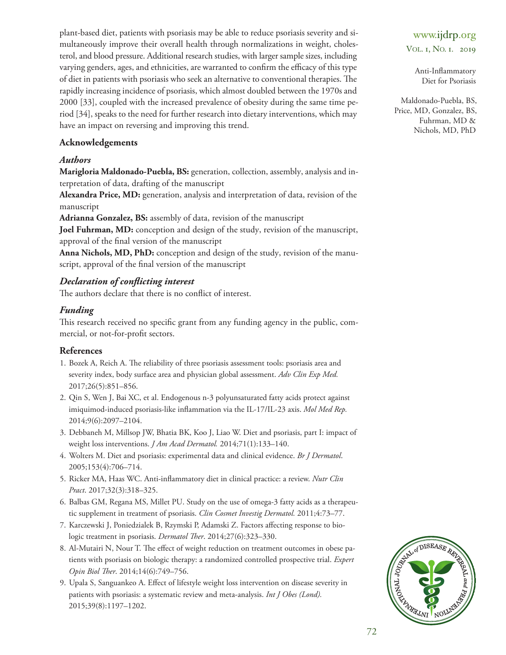plant-based diet, patients with psoriasis may be able to reduce psoriasis severity and simultaneously improve their overall health through normalizations in weight, cholesterol, and blood pressure. Additional research studies, with larger sample sizes, including varying genders, ages, and ethnicities, are warranted to confirm the efficacy of this type of diet in patients with psoriasis who seek an alternative to conventional therapies. The rapidly increasing incidence of psoriasis, which almost doubled between the 1970s and 2000 [\[33\]](#page-6-3), coupled with the increased prevalence of obesity during the same time period [\[34\]](#page-6-4), speaks to the need for further research into dietary interventions, which may have an impact on reversing and improving this trend.

### **Acknowledgements**

### *Authors*

**Marigloria Maldonado-Puebla, BS:** generation, collection, assembly, analysis and interpretation of data, drafting of the manuscript

**Alexandra Price, MD:** generation, analysis and interpretation of data, revision of the manuscript

**Adrianna Gonzalez, BS:** assembly of data, revision of the manuscript

**Joel Fuhrman, MD:** conception and design of the study, revision of the manuscript, approval of the final version of the manuscript

**Anna Nichols, MD, PhD:** conception and design of the study, revision of the manuscript, approval of the final version of the manuscript

### *Declaration of conflicting interest*

The authors declare that there is no conflict of interest.

### *Funding*

This research received no specific grant from any funding agency in the public, commercial, or not-for-profit sectors.

### **References**

- 1. Bozek A, Reich A. The reliability of three psoriasis assessment tools: psoriasis area and severity index, body surface area and physician global assessment. *Adv Clin Exp Med.* 2017;26(5):851–856.
- 2. Qin S, Wen J, Bai XC, et al. Endogenous n-3 polyunsaturated fatty acids protect against imiquimod-induced psoriasis-like inflammation via the Il-17/Il-23 axis. *Mol Med Rep.* 2014;9(6):2097–2104.
- 3. Debbaneh M, Millsop Jw, Bhatia Bk, koo J, liao w. Diet and psoriasis, part I: impact of weight loss interventions. *J Am Acad Dermatol.* 2014;71(1):133–140.
- 4. wolters M. Diet and psoriasis: experimental data and clinical evidence. *Br J Dermatol*. 2005;153(4):706–714.
- 5. Ricker MA, Haas WC. Anti-inflammatory diet in clinical practice: a review. *Nutr Clin Pract*. 2017;32(3):318–325.
- 6. Balbas GM, regana MS, Millet Pu. Study on the use of omega-3 fatty acids as a therapeutic supplement in treatment of psoriasis. *Clin Cosmet Investig Dermatol.* 2011;4:73–77.
- 7. Karczewski J, Poniedzialek B, Rzymski P, Adamski Z. Factors affecting response to biologic treatment in psoriasis. *Dermatol Ther*. 2014;27(6):323-330.
- 8. Al-Mutairi N, Nour T. The effect of weight reduction on treatment outcomes in obese patients with psoriasis on biologic therapy: a randomized controlled prospective trial. *Expert Opin Biol Ther.* 2014;14(6):749-756.
- 9. Upala S, Sanguankeo A. Effect of lifestyle weight loss intervention on disease severity in patients with psoriasis: a systematic review and meta-analysis. *Int J Obes (Lond).* 2015;39(8):1197–1202.

# www.ijdrp.org

VOL. 1, NO. 1. 2019

Anti-Inflammatory Diet for Psoriasis

<span id="page-4-8"></span><span id="page-4-7"></span><span id="page-4-6"></span><span id="page-4-5"></span><span id="page-4-4"></span><span id="page-4-3"></span><span id="page-4-2"></span><span id="page-4-1"></span><span id="page-4-0"></span>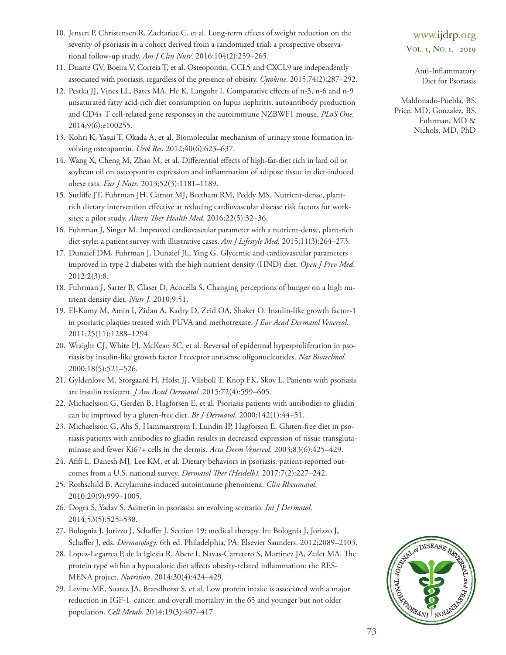- 10. Jensen P, Christensen R, Zachariae C, et al. Long-term effects of weight reduction on the severity of psoriasis in a cohort derived from a randomized trial: a prospective observational follow-up study. *Am J Clin Nutr*. 2016;104(2):259–265.
- 11. Duarte GV, Boeira V, Correia T, et al. Osteopontin, CCL5 and CXCL9 are independently associated with psoriasis, regardless of the presence of obesity. *Cytokine*. 2015;74(2):287–292.
- 12. Pestka JJ, Vines ll, Bates MA, He k, langohr I. Comparative effects of n-3, n-6 and n-9 unsaturated fatty acid-rich diet consumption on lupus nephritis, autoantibody production and CD4+ T cell-related gene responses in the autoimmune NZBWF1 mouse. PLoS One. 2014;9(6):e100255.
- 13. kohri k, yasui t, okada A, et al. Biomolecular mechanism of urinary stone formation involving osteopontin. *Urol Res*. 2012;40(6):623–637.
- 14. wang X, Cheng M, Zhao M, et al. Differential effects of high-fat-diet rich in lard oil or soybean oil on osteopontin expression and inflammation of adipose tissue in diet-induced obese rats. *Eur J Nutr*. 2013;52(3):1181–1189.
- 15. Sutliffe JT, Fuhrman JH, Carnot MJ, Beetham RM, Peddy MS. Nutrient-dense, plantrich dietary intervention effective at reducing cardiovascular disease risk factors for worksites: a pilot study. Altern Ther Health Med. 2016;22(5):32-36.
- 16. Fuhrman J, Singer M. Improved cardiovascular parameter with a nutrient-dense, plant-rich diet-style: a patient survey with illustrative cases. *Am J Lifestyle Med.* 2015;11(3):264–273.
- 17. Dunaief DM, Fuhrman J, Dunaief Jl, ying G. Glycemic and cardiovascular parameters improved in type 2 diabetes with the high nutrient density (HND) diet. *Open J Prev Med*. 2012;2(3):8.
- 18. Fuhrman J, Sarter B, Glaser D, Acocella S. Changing perceptions of hunger on a high nutrient density diet*. Nutr J.* 2010;9:51.
- 19. el-komy M, Amin I, Zidan A, kadry D, Zeid oA, Shaker o. Insulin-like growth factor-1 in psoriatic plaques treated with PuVA and methotrexate. *J Eur Acad Dermatol Venereol*. 2011;25(11):1288–1294.
- 20. Wraight CJ, White PJ, McKean SC, et al. Reversal of epidermal hyperproliferation in psoriasis by insulin-like growth factor I receptor antisense oligonucleotides. *Nat Biotechnol*. 2000;18(5):521–526.
- 21. Gyldenlove M, Storgaard H, Holst JJ, Vilsboll t, knop Fk, Skov l. Patients with psoriasis are insulin resistant. *J Am Acad Dermatol*. 2015;72(4):599–605.
- 22. Michaelsson G, Gerden B, Hagforsen E, et al. Psoriasis patients with antibodies to gliadin can be improved by a gluten-free diet. *Br J Dermatol*. 2000;142(1):44–51.
- 23. Michaelsson G, Ahs S, Hammarstrom I, Lundin IP, Hagforsen E. Gluten-free diet in psoriasis patients with antibodies to gliadin results in decreased expression of tissue transglutaminase and fewer ki67+ cells in the dermis. *Acta Derm Venereol*. 2003;83(6):425–429.
- 24. Afifi l, Danesh MJ, lee kM, et al. Dietary behaviors in psoriasis: patient-reported outcomes from a U.S. national survey. *Dermatol Ther (Heidelb)*. 2017;7(2):227-242.
- 25. rothschild B. Acrylamine-induced autoimmune phenomena. *Clin Rheumatol*. 2010;29(9):999–1005.
- 26. Dogra S, yadav S. Acitretin in psoriasis: an evolving scenario. *Int J Dermatol*. 2014;53(5):525–538.
- 27. Bolognia J, Jorizzo J, Schaffer J. Section 19: medical therapy. In: Bolognia J, Jorizzo J, Schaffer J, eds. *Dermatology*. 6th ed. Philadelphia, PA: elsevier Saunders. 2012;2089–2103.
- 28. Lopez-Legarrea P, de la Iglesia R, Abete I, Navas-Carretero S, Martinez JA, Zulet MA. The protein type within a hypocaloric diet affects obesity-related inflammation: the RES-MeNA project. *Nutrition*. 2014;30(4):424–429.
- 29. levine Me, Suarez JA, Brandhorst S, et al. low protein intake is associated with a major reduction in IGF-1, cancer, and overall mortality in the 65 and younger but not older population. *Cell Metab*. 2014;19(3):407–417.

<span id="page-5-9"></span><span id="page-5-8"></span><span id="page-5-7"></span><span id="page-5-6"></span><span id="page-5-5"></span><span id="page-5-4"></span><span id="page-5-3"></span><span id="page-5-2"></span><span id="page-5-1"></span><span id="page-5-0"></span>Anti-Inflammatory Diet for Psoriasis

<span id="page-5-19"></span><span id="page-5-18"></span><span id="page-5-17"></span><span id="page-5-16"></span><span id="page-5-15"></span><span id="page-5-14"></span><span id="page-5-13"></span><span id="page-5-12"></span><span id="page-5-11"></span><span id="page-5-10"></span>